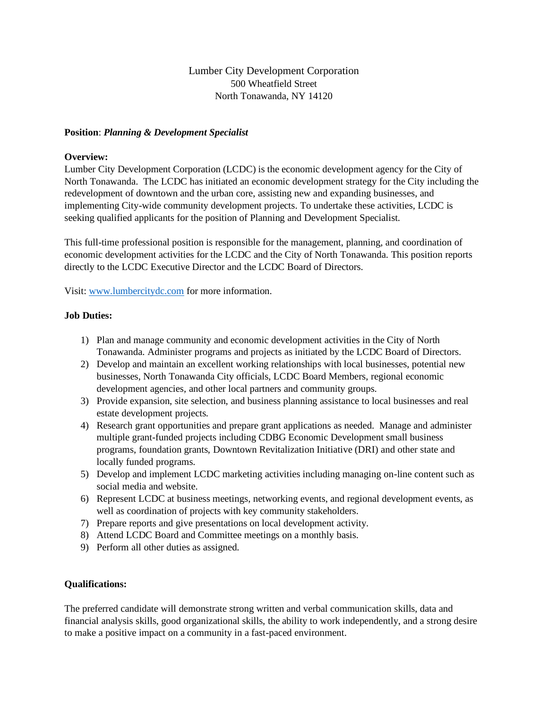Lumber City Development Corporation 500 Wheatfield Street North Tonawanda, NY 14120

## **Position**: *Planning & Development Specialist*

## **Overview:**

Lumber City Development Corporation (LCDC) is the economic development agency for the City of North Tonawanda. The LCDC has initiated an economic development strategy for the City including the redevelopment of downtown and the urban core, assisting new and expanding businesses, and implementing City-wide community development projects. To undertake these activities, LCDC is seeking qualified applicants for the position of Planning and Development Specialist.

This full-time professional position is responsible for the management, planning, and coordination of economic development activities for the LCDC and the City of North Tonawanda. This position reports directly to the LCDC Executive Director and the LCDC Board of Directors.

Visit: [www.lumbercitydc.com](http://www.lumbercitydc.com/) for more information.

# **Job Duties:**

- 1) Plan and manage community and economic development activities in the City of North Tonawanda. Administer programs and projects as initiated by the LCDC Board of Directors.
- 2) Develop and maintain an excellent working relationships with local businesses, potential new businesses, North Tonawanda City officials, LCDC Board Members, regional economic development agencies, and other local partners and community groups.
- 3) Provide expansion, site selection, and business planning assistance to local businesses and real estate development projects.
- 4) Research grant opportunities and prepare grant applications as needed. Manage and administer multiple grant-funded projects including CDBG Economic Development small business programs, foundation grants, Downtown Revitalization Initiative (DRI) and other state and locally funded programs.
- 5) Develop and implement LCDC marketing activities including managing on-line content such as social media and website.
- 6) Represent LCDC at business meetings, networking events, and regional development events, as well as coordination of projects with key community stakeholders.
- 7) Prepare reports and give presentations on local development activity.
- 8) Attend LCDC Board and Committee meetings on a monthly basis.
- 9) Perform all other duties as assigned.

## **Qualifications:**

The preferred candidate will demonstrate strong written and verbal communication skills, data and financial analysis skills, good organizational skills, the ability to work independently, and a strong desire to make a positive impact on a community in a fast-paced environment.